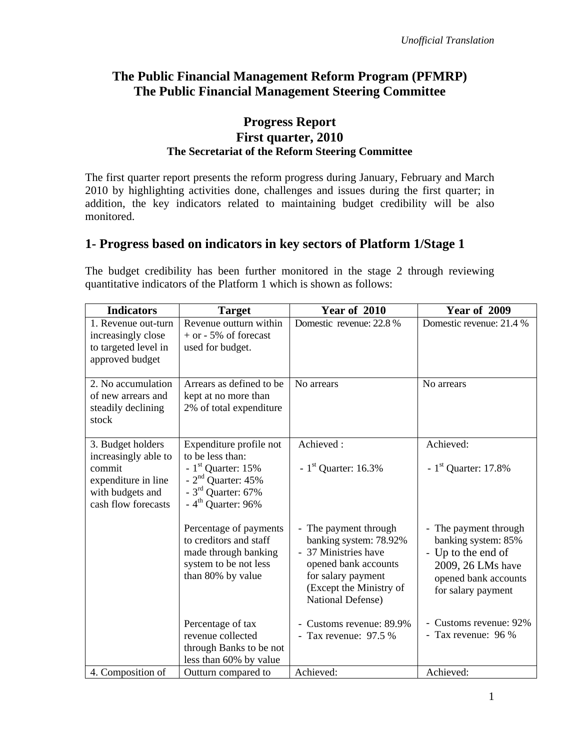# **The Public Financial Management Reform Program (PFMRP) The Public Financial Management Steering Committee**

## **Progress Report First quarter, 2010 The Secretariat of the Reform Steering Committee**

The first quarter report presents the reform progress during January, February and March 2010 by highlighting activities done, challenges and issues during the first quarter; in addition, the key indicators related to maintaining budget credibility will be also monitored.

## **1- Progress based on indicators in key sectors of Platform 1/Stage 1**

The budget credibility has been further monitored in the stage 2 through reviewing quantitative indicators of the Platform 1 which is shown as follows:

| <b>Indicators</b>                                                                                                     | <b>Target</b>                                                                                                                                        | <b>Year of 2010</b>                                                                                                                                                 | <b>Year of 2009</b>                                                                                                                   |
|-----------------------------------------------------------------------------------------------------------------------|------------------------------------------------------------------------------------------------------------------------------------------------------|---------------------------------------------------------------------------------------------------------------------------------------------------------------------|---------------------------------------------------------------------------------------------------------------------------------------|
| 1. Revenue out-turn<br>increasingly close<br>to targeted level in<br>approved budget                                  | Revenue outturn within<br>$+$ or - 5% of forecast<br>used for budget.                                                                                | Domestic revenue: 22.8 %                                                                                                                                            | Domestic revenue: 21.4 %                                                                                                              |
| 2. No accumulation<br>of new arrears and<br>steadily declining<br>stock                                               | Arrears as defined to be<br>kept at no more than<br>2% of total expenditure                                                                          | No arrears                                                                                                                                                          | No arrears                                                                                                                            |
| 3. Budget holders<br>increasingly able to<br>commit<br>expenditure in line<br>with budgets and<br>cash flow forecasts | Expenditure profile not<br>to be less than:<br>- $1st$ Quarter: 15%<br>- $2nd$ Quarter: 45%<br>- $3^{\text{rd}}$ Quarter: 67%<br>$-4th$ Quarter: 96% | Achieved:<br>- $1st$ Quarter: 16.3%                                                                                                                                 | Achieved:<br>- $1st$ Quarter: 17.8%                                                                                                   |
|                                                                                                                       | Percentage of payments<br>to creditors and staff<br>made through banking<br>system to be not less<br>than 80% by value                               | The payment through<br>banking system: 78.92%<br>- 37 Ministries have<br>opened bank accounts<br>for salary payment<br>(Except the Ministry of<br>National Defense) | - The payment through<br>banking system: 85%<br>- Up to the end of<br>2009, 26 LMs have<br>opened bank accounts<br>for salary payment |
|                                                                                                                       | Percentage of tax<br>revenue collected<br>through Banks to be not<br>less than 60% by value                                                          | Customs revenue: 89.9%<br>- Tax revenue: $97.5%$                                                                                                                    | - Customs revenue: 92%<br>- Tax revenue: 96 %                                                                                         |
| 4. Composition of                                                                                                     | Outturn compared to                                                                                                                                  | Achieved:                                                                                                                                                           | Achieved:                                                                                                                             |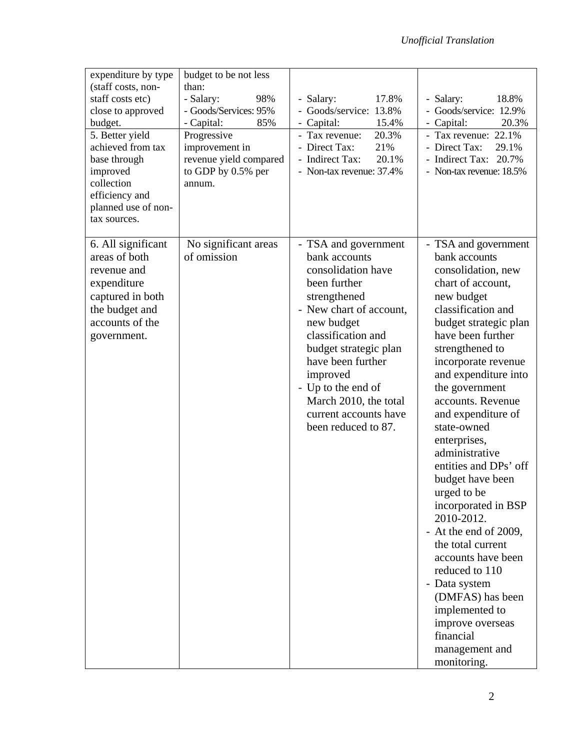| expenditure by type<br>(staff costs, non-<br>staff costs etc)<br>close to approved<br>budget.<br>5. Better yield<br>achieved from tax<br>base through<br>improved<br>collection<br>efficiency and<br>planned use of non-<br>tax sources. | budget to be not less<br>than:<br>- Salary:<br>98%<br>- Goods/Services: 95%<br>- Capital:<br>85%<br>Progressive<br>improvement in<br>revenue yield compared<br>to GDP by 0.5% per<br>annum. | 17.8%<br>- Salary:<br>Goods/service: 13.8%<br>- Capital:<br>15.4%<br>20.3%<br>Tax revenue:<br>- Direct Tax:<br>21%<br>- Indirect Tax:<br>20.1%<br>- Non-tax revenue: 37.4%                                                                                                                                          | - Salary:<br>18.8%<br>Goods/service: 12.9%<br>- Capital:<br>20.3%<br>- Tax revenue: 22.1%<br>- Direct Tax:<br>29.1%<br>- Indirect Tax: 20.7%<br>- Non-tax revenue: 18.5%                                                                                                                                                                                                                                                                                                                                                                                                                                                                                           |
|------------------------------------------------------------------------------------------------------------------------------------------------------------------------------------------------------------------------------------------|---------------------------------------------------------------------------------------------------------------------------------------------------------------------------------------------|---------------------------------------------------------------------------------------------------------------------------------------------------------------------------------------------------------------------------------------------------------------------------------------------------------------------|--------------------------------------------------------------------------------------------------------------------------------------------------------------------------------------------------------------------------------------------------------------------------------------------------------------------------------------------------------------------------------------------------------------------------------------------------------------------------------------------------------------------------------------------------------------------------------------------------------------------------------------------------------------------|
| 6. All significant<br>areas of both<br>revenue and<br>expenditure<br>captured in both<br>the budget and<br>accounts of the<br>government.                                                                                                | No significant areas<br>of omission                                                                                                                                                         | - TSA and government<br>bank accounts<br>consolidation have<br>been further<br>strengthened<br>- New chart of account,<br>new budget<br>classification and<br>budget strategic plan<br>have been further<br>improved<br>- Up to the end of<br>March 2010, the total<br>current accounts have<br>been reduced to 87. | - TSA and government<br>bank accounts<br>consolidation, new<br>chart of account,<br>new budget<br>classification and<br>budget strategic plan<br>have been further<br>strengthened to<br>incorporate revenue<br>and expenditure into<br>the government<br>accounts. Revenue<br>and expenditure of<br>state-owned<br>enterprises,<br>administrative<br>entities and DPs' off<br>budget have been<br>urged to be<br>incorporated in BSP<br>2010-2012.<br>- At the end of 2009,<br>the total current<br>accounts have been<br>reduced to 110<br>- Data system<br>(DMFAS) has been<br>implemented to<br>improve overseas<br>financial<br>management and<br>monitoring. |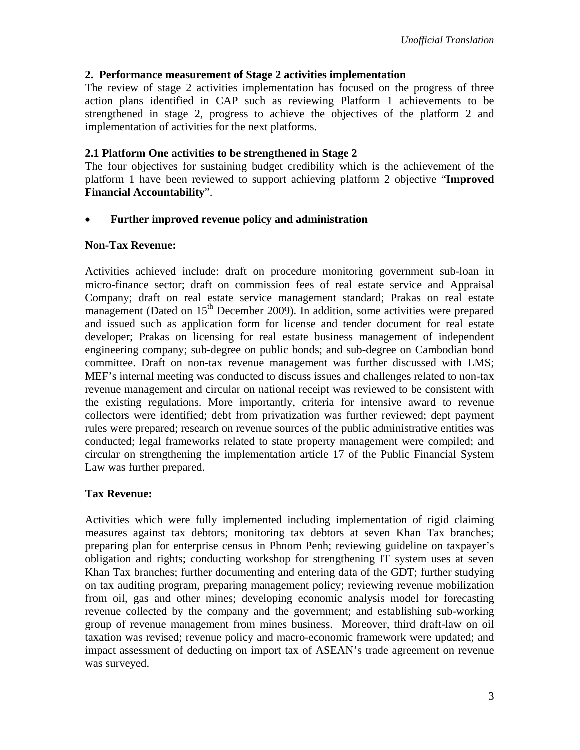### **2. Performance measurement of Stage 2 activities implementation**

The review of stage 2 activities implementation has focused on the progress of three action plans identified in CAP such as reviewing Platform 1 achievements to be strengthened in stage 2, progress to achieve the objectives of the platform 2 and implementation of activities for the next platforms.

#### **2.1 Platform One activities to be strengthened in Stage 2**

The four objectives for sustaining budget credibility which is the achievement of the platform 1 have been reviewed to support achieving platform 2 objective "**Improved Financial Accountability**".

### **Further improved revenue policy and administration**

#### **Non-Tax Revenue:**

Activities achieved include: draft on procedure monitoring government sub-loan in micro-finance sector; draft on commission fees of real estate service and Appraisal Company; draft on real estate service management standard; Prakas on real estate management (Dated on  $15<sup>th</sup>$  December 2009). In addition, some activities were prepared and issued such as application form for license and tender document for real estate developer; Prakas on licensing for real estate business management of independent engineering company; sub-degree on public bonds; and sub-degree on Cambodian bond committee. Draft on non-tax revenue management was further discussed with LMS; MEF's internal meeting was conducted to discuss issues and challenges related to non-tax revenue management and circular on national receipt was reviewed to be consistent with the existing regulations. More importantly, criteria for intensive award to revenue collectors were identified; debt from privatization was further reviewed; dept payment rules were prepared; research on revenue sources of the public administrative entities was conducted; legal frameworks related to state property management were compiled; and circular on strengthening the implementation article 17 of the Public Financial System Law was further prepared.

## **Tax Revenue:**

Activities which were fully implemented including implementation of rigid claiming measures against tax debtors; monitoring tax debtors at seven Khan Tax branches; preparing plan for enterprise census in Phnom Penh; reviewing guideline on taxpayer's obligation and rights; conducting workshop for strengthening IT system uses at seven Khan Tax branches; further documenting and entering data of the GDT; further studying on tax auditing program, preparing management policy; reviewing revenue mobilization from oil, gas and other mines; developing economic analysis model for forecasting revenue collected by the company and the government; and establishing sub-working group of revenue management from mines business. Moreover, third draft-law on oil taxation was revised; revenue policy and macro-economic framework were updated; and impact assessment of deducting on import tax of ASEAN's trade agreement on revenue was surveyed.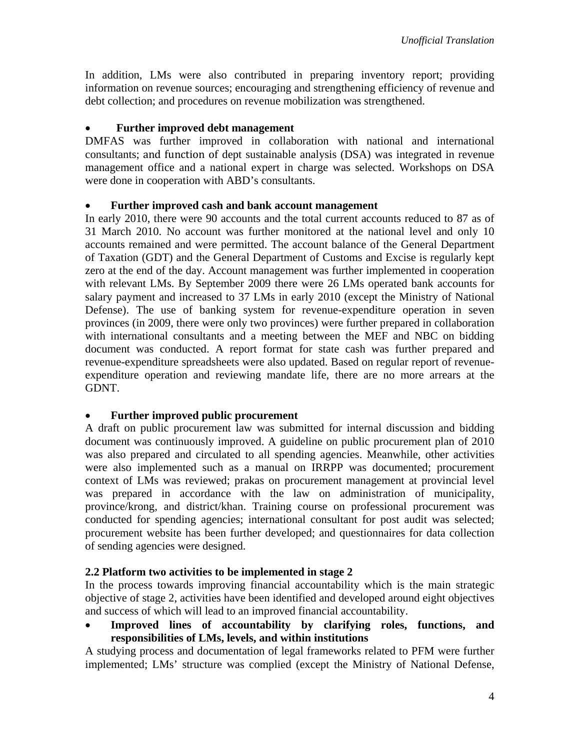In addition, LMs were also contributed in preparing inventory report; providing information on revenue sources; encouraging and strengthening efficiency of revenue and debt collection; and procedures on revenue mobilization was strengthened.

### **Further improved debt management**

DMFAS was further improved in collaboration with national and international consultants; and function of dept sustainable analysis (DSA) was integrated in revenue management office and a national expert in charge was selected. Workshops on DSA were done in cooperation with ABD's consultants.

### **Further improved cash and bank account management**

In early 2010, there were 90 accounts and the total current accounts reduced to 87 as of 31 March 2010. No account was further monitored at the national level and only 10 accounts remained and were permitted. The account balance of the General Department of Taxation (GDT) and the General Department of Customs and Excise is regularly kept zero at the end of the day. Account management was further implemented in cooperation with relevant LMs. By September 2009 there were 26 LMs operated bank accounts for salary payment and increased to 37 LMs in early 2010 (except the Ministry of National Defense). The use of banking system for revenue-expenditure operation in seven provinces (in 2009, there were only two provinces) were further prepared in collaboration with international consultants and a meeting between the MEF and NBC on bidding document was conducted. A report format for state cash was further prepared and revenue-expenditure spreadsheets were also updated. Based on regular report of revenueexpenditure operation and reviewing mandate life, there are no more arrears at the GDNT.

## **Further improved public procurement**

A draft on public procurement law was submitted for internal discussion and bidding document was continuously improved. A guideline on public procurement plan of 2010 was also prepared and circulated to all spending agencies. Meanwhile, other activities were also implemented such as a manual on IRRPP was documented; procurement context of LMs was reviewed; prakas on procurement management at provincial level was prepared in accordance with the law on administration of municipality, province/krong, and district/khan. Training course on professional procurement was conducted for spending agencies; international consultant for post audit was selected; procurement website has been further developed; and questionnaires for data collection of sending agencies were designed.

## **2.2 Platform two activities to be implemented in stage 2**

In the process towards improving financial accountability which is the main strategic objective of stage 2, activities have been identified and developed around eight objectives and success of which will lead to an improved financial accountability.

 **Improved lines of accountability by clarifying roles, functions, and responsibilities of LMs, levels, and within institutions** 

A studying process and documentation of legal frameworks related to PFM were further implemented; LMs' structure was complied (except the Ministry of National Defense,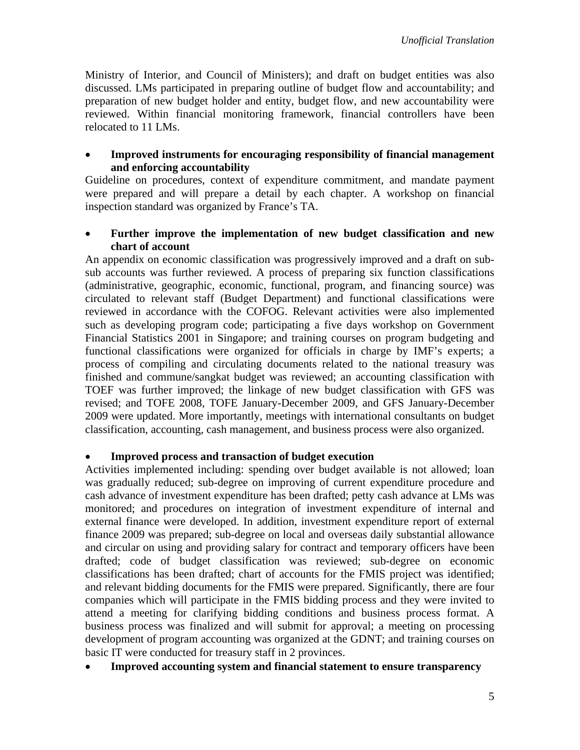Ministry of Interior, and Council of Ministers); and draft on budget entities was also discussed. LMs participated in preparing outline of budget flow and accountability; and preparation of new budget holder and entity, budget flow, and new accountability were reviewed. Within financial monitoring framework, financial controllers have been relocated to 11 LMs.

#### **Improved instruments for encouraging responsibility of financial management and enforcing accountability**

Guideline on procedures, context of expenditure commitment, and mandate payment were prepared and will prepare a detail by each chapter. A workshop on financial inspection standard was organized by France's TA.

#### **Further improve the implementation of new budget classification and new chart of account**

An appendix on economic classification was progressively improved and a draft on subsub accounts was further reviewed. A process of preparing six function classifications (administrative, geographic, economic, functional, program, and financing source) was circulated to relevant staff (Budget Department) and functional classifications were reviewed in accordance with the COFOG. Relevant activities were also implemented such as developing program code; participating a five days workshop on Government Financial Statistics 2001 in Singapore; and training courses on program budgeting and functional classifications were organized for officials in charge by IMF's experts; a process of compiling and circulating documents related to the national treasury was finished and commune/sangkat budget was reviewed; an accounting classification with TOEF was further improved; the linkage of new budget classification with GFS was revised; and TOFE 2008, TOFE January-December 2009, and GFS January-December 2009 were updated. More importantly, meetings with international consultants on budget classification, accounting, cash management, and business process were also organized.

#### **Improved process and transaction of budget execution**

Activities implemented including: spending over budget available is not allowed; loan was gradually reduced; sub-degree on improving of current expenditure procedure and cash advance of investment expenditure has been drafted; petty cash advance at LMs was monitored; and procedures on integration of investment expenditure of internal and external finance were developed. In addition, investment expenditure report of external finance 2009 was prepared; sub-degree on local and overseas daily substantial allowance and circular on using and providing salary for contract and temporary officers have been drafted; code of budget classification was reviewed; sub-degree on economic classifications has been drafted; chart of accounts for the FMIS project was identified; and relevant bidding documents for the FMIS were prepared. Significantly, there are four companies which will participate in the FMIS bidding process and they were invited to attend a meeting for clarifying bidding conditions and business process format. A business process was finalized and will submit for approval; a meeting on processing development of program accounting was organized at the GDNT; and training courses on basic IT were conducted for treasury staff in 2 provinces.

## **Improved accounting system and financial statement to ensure transparency**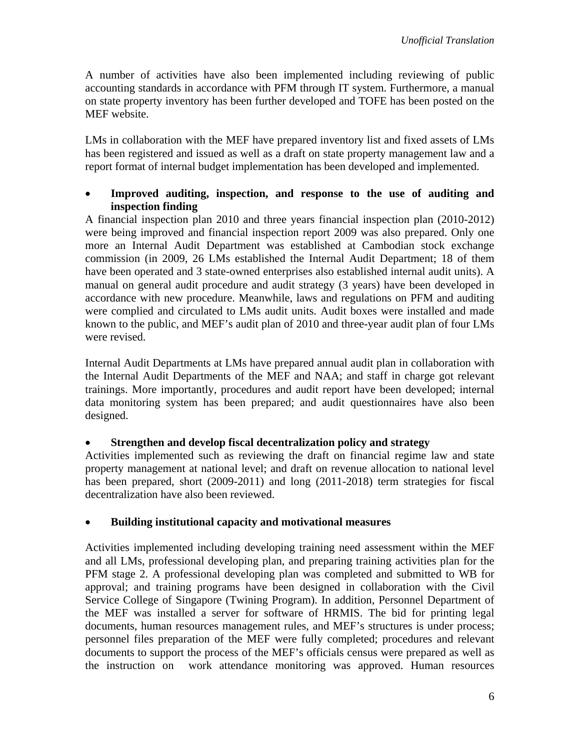A number of activities have also been implemented including reviewing of public accounting standards in accordance with PFM through IT system. Furthermore, a manual on state property inventory has been further developed and TOFE has been posted on the MEF website.

LMs in collaboration with the MEF have prepared inventory list and fixed assets of LMs has been registered and issued as well as a draft on state property management law and a report format of internal budget implementation has been developed and implemented.

## **Improved auditing, inspection, and response to the use of auditing and inspection finding**

A financial inspection plan 2010 and three years financial inspection plan (2010-2012) were being improved and financial inspection report 2009 was also prepared. Only one more an Internal Audit Department was established at Cambodian stock exchange commission (in 2009, 26 LMs established the Internal Audit Department; 18 of them have been operated and 3 state-owned enterprises also established internal audit units). A manual on general audit procedure and audit strategy (3 years) have been developed in accordance with new procedure. Meanwhile, laws and regulations on PFM and auditing were complied and circulated to LMs audit units. Audit boxes were installed and made known to the public, and MEF's audit plan of 2010 and three-year audit plan of four LMs were revised.

Internal Audit Departments at LMs have prepared annual audit plan in collaboration with the Internal Audit Departments of the MEF and NAA; and staff in charge got relevant trainings. More importantly, procedures and audit report have been developed; internal data monitoring system has been prepared; and audit questionnaires have also been designed.

## **Strengthen and develop fiscal decentralization policy and strategy**

Activities implemented such as reviewing the draft on financial regime law and state property management at national level; and draft on revenue allocation to national level has been prepared, short (2009-2011) and long (2011-2018) term strategies for fiscal decentralization have also been reviewed.

## **Building institutional capacity and motivational measures**

Activities implemented including developing training need assessment within the MEF and all LMs, professional developing plan, and preparing training activities plan for the PFM stage 2. A professional developing plan was completed and submitted to WB for approval; and training programs have been designed in collaboration with the Civil Service College of Singapore (Twining Program). In addition, Personnel Department of the MEF was installed a server for software of HRMIS. The bid for printing legal documents, human resources management rules, and MEF's structures is under process; personnel files preparation of the MEF were fully completed; procedures and relevant documents to support the process of the MEF's officials census were prepared as well as the instruction on work attendance monitoring was approved. Human resources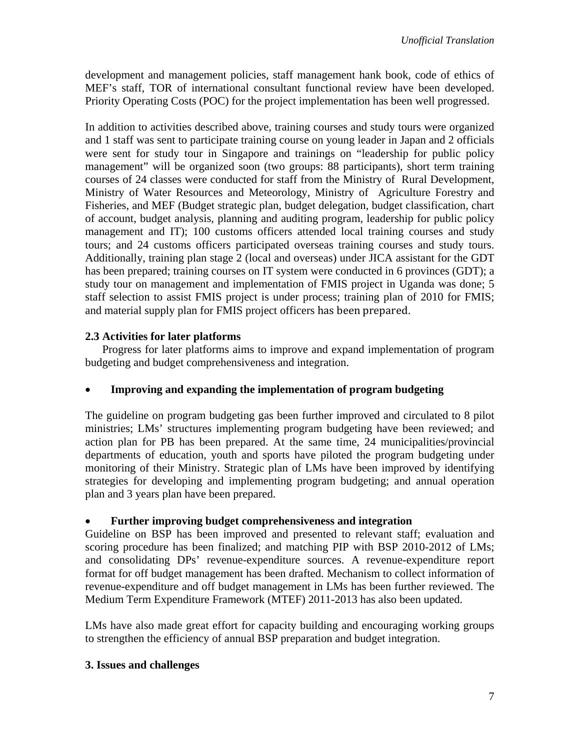development and management policies, staff management hank book, code of ethics of MEF's staff, TOR of international consultant functional review have been developed. Priority Operating Costs (POC) for the project implementation has been well progressed.

In addition to activities described above, training courses and study tours were organized and 1 staff was sent to participate training course on young leader in Japan and 2 officials were sent for study tour in Singapore and trainings on "leadership for public policy management" will be organized soon (two groups: 88 participants), short term training courses of 24 classes were conducted for staff from the Ministry of Rural Development, Ministry of Water Resources and Meteorology, Ministry of Agriculture Forestry and Fisheries, and MEF (Budget strategic plan, budget delegation, budget classification, chart of account, budget analysis, planning and auditing program, leadership for public policy management and IT); 100 customs officers attended local training courses and study tours; and 24 customs officers participated overseas training courses and study tours. Additionally, training plan stage 2 (local and overseas) under JICA assistant for the GDT has been prepared; training courses on IT system were conducted in 6 provinces (GDT); a study tour on management and implementation of FMIS project in Uganda was done; 5 staff selection to assist FMIS project is under process; training plan of 2010 for FMIS; and material supply plan for FMIS project officers has been prepared.

## **2.3 Activities for later platforms**

Progress for later platforms aims to improve and expand implementation of program budgeting and budget comprehensiveness and integration.

## **Improving and expanding the implementation of program budgeting**

The guideline on program budgeting gas been further improved and circulated to 8 pilot ministries; LMs' structures implementing program budgeting have been reviewed; and action plan for PB has been prepared. At the same time, 24 municipalities/provincial departments of education, youth and sports have piloted the program budgeting under monitoring of their Ministry. Strategic plan of LMs have been improved by identifying strategies for developing and implementing program budgeting; and annual operation plan and 3 years plan have been prepared.

## **Further improving budget comprehensiveness and integration**

Guideline on BSP has been improved and presented to relevant staff; evaluation and scoring procedure has been finalized; and matching PIP with BSP 2010-2012 of LMs; and consolidating DPs' revenue-expenditure sources. A revenue-expenditure report format for off budget management has been drafted. Mechanism to collect information of revenue-expenditure and off budget management in LMs has been further reviewed. The Medium Term Expenditure Framework (MTEF) 2011-2013 has also been updated.

LMs have also made great effort for capacity building and encouraging working groups to strengthen the efficiency of annual BSP preparation and budget integration.

## **3. Issues and challenges**